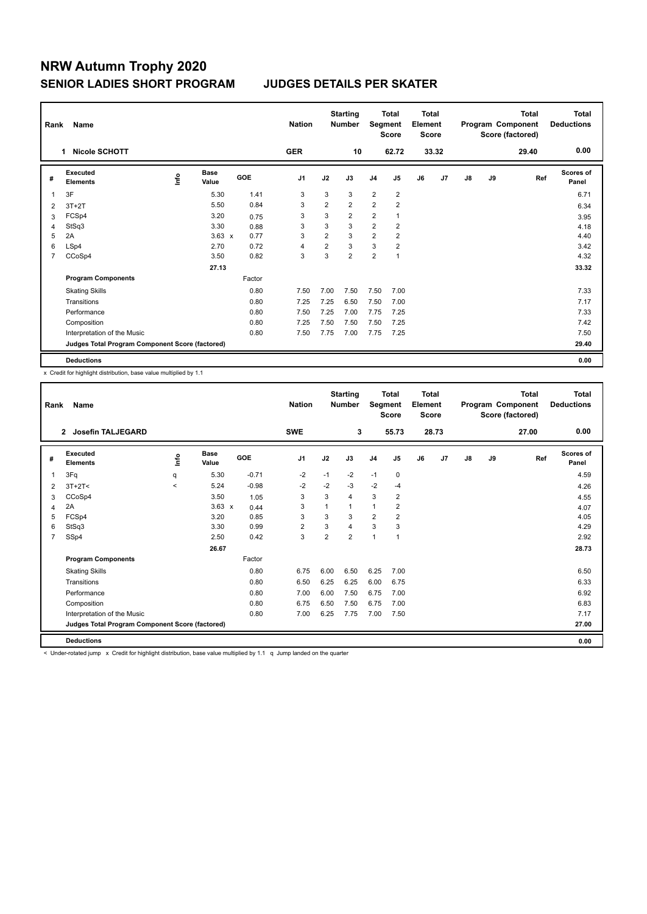| Rank           | Name                                            |      |                      |        | <b>Nation</b>  |                | <b>Starting</b><br><b>Number</b> | Segment        | <b>Total</b><br><b>Score</b> | <b>Total</b><br>Element<br><b>Score</b> |       |    |    | <b>Total</b><br>Program Component<br>Score (factored) | <b>Total</b><br><b>Deductions</b> |
|----------------|-------------------------------------------------|------|----------------------|--------|----------------|----------------|----------------------------------|----------------|------------------------------|-----------------------------------------|-------|----|----|-------------------------------------------------------|-----------------------------------|
|                | <b>Nicole SCHOTT</b><br>1.                      |      |                      |        | <b>GER</b>     |                | 10                               |                | 62.72                        |                                         | 33.32 |    |    | 29.40                                                 | 0.00                              |
| #              | <b>Executed</b><br><b>Elements</b>              | ١nf٥ | <b>Base</b><br>Value | GOE    | J <sub>1</sub> | J2             | J3                               | J <sub>4</sub> | J <sub>5</sub>               | J6                                      | J7    | J8 | J9 | Ref                                                   | <b>Scores of</b><br>Panel         |
| 1              | 3F                                              |      | 5.30                 | 1.41   | 3              | 3              | 3                                | 2              | $\overline{2}$               |                                         |       |    |    |                                                       | 6.71                              |
| 2              | $3T+2T$                                         |      | 5.50                 | 0.84   | 3              | $\overline{2}$ | $\overline{2}$                   | $\overline{2}$ | $\overline{2}$               |                                         |       |    |    |                                                       | 6.34                              |
| 3              | FCSp4                                           |      | 3.20                 | 0.75   | 3              | 3              | $\overline{2}$                   | $\overline{2}$ |                              |                                         |       |    |    |                                                       | 3.95                              |
| 4              | StSq3                                           |      | 3.30                 | 0.88   | 3              | 3              | 3                                | $\overline{2}$ | $\overline{2}$               |                                         |       |    |    |                                                       | 4.18                              |
| 5              | 2A                                              |      | $3.63 \times$        | 0.77   | 3              | $\overline{2}$ | 3                                | $\overline{2}$ | $\overline{2}$               |                                         |       |    |    |                                                       | 4.40                              |
| 6              | LSp4                                            |      | 2.70                 | 0.72   | $\overline{4}$ | $\overline{2}$ | 3                                | 3              | $\overline{2}$               |                                         |       |    |    |                                                       | 3.42                              |
| $\overline{7}$ | CCoSp4                                          |      | 3.50                 | 0.82   | 3              | 3              | $\overline{2}$                   | $\overline{2}$ | $\mathbf{1}$                 |                                         |       |    |    |                                                       | 4.32                              |
|                |                                                 |      | 27.13                |        |                |                |                                  |                |                              |                                         |       |    |    |                                                       | 33.32                             |
|                | <b>Program Components</b>                       |      |                      | Factor |                |                |                                  |                |                              |                                         |       |    |    |                                                       |                                   |
|                | <b>Skating Skills</b>                           |      |                      | 0.80   | 7.50           | 7.00           | 7.50                             | 7.50           | 7.00                         |                                         |       |    |    |                                                       | 7.33                              |
|                | Transitions                                     |      |                      | 0.80   | 7.25           | 7.25           | 6.50                             | 7.50           | 7.00                         |                                         |       |    |    |                                                       | 7.17                              |
|                | Performance                                     |      |                      | 0.80   | 7.50           | 7.25           | 7.00                             | 7.75           | 7.25                         |                                         |       |    |    |                                                       | 7.33                              |
|                | Composition                                     |      |                      | 0.80   | 7.25           | 7.50           | 7.50                             | 7.50           | 7.25                         |                                         |       |    |    |                                                       | 7.42                              |
|                | Interpretation of the Music                     |      |                      | 0.80   | 7.50           | 7.75           | 7.00                             | 7.75           | 7.25                         |                                         |       |    |    |                                                       | 7.50                              |
|                | Judges Total Program Component Score (factored) |      |                      |        |                |                |                                  |                |                              |                                         |       |    |    |                                                       | 29.40                             |
|                | <b>Deductions</b>                               |      |                      |        |                |                |                                  |                |                              |                                         |       |    |    |                                                       | 0.00                              |

x Credit for highlight distribution, base value multiplied by 1.1

| Rank           | Name                                            |             |                      |         | <b>Nation</b>  |                | <b>Starting</b><br><b>Number</b> | Segment        | <b>Total</b><br><b>Score</b> | <b>Total</b><br>Element<br><b>Score</b> |       |    |    | <b>Total</b><br>Program Component<br>Score (factored) | <b>Total</b><br><b>Deductions</b> |
|----------------|-------------------------------------------------|-------------|----------------------|---------|----------------|----------------|----------------------------------|----------------|------------------------------|-----------------------------------------|-------|----|----|-------------------------------------------------------|-----------------------------------|
|                | <b>Josefin TALJEGARD</b><br>$\overline{2}$      |             |                      |         | <b>SWE</b>     |                | 3                                |                | 55.73                        |                                         | 28.73 |    |    | 27.00                                                 | 0.00                              |
| #              | Executed<br><b>Elements</b>                     | <u>info</u> | <b>Base</b><br>Value | GOE     | J <sub>1</sub> | J2             | J3                               | J <sub>4</sub> | J5                           | J6                                      | J7    | J8 | J9 | Ref                                                   | Scores of<br>Panel                |
|                | 3Fq                                             | q           | 5.30                 | $-0.71$ | $-2$           | $-1$           | $-2$                             | $-1$           | 0                            |                                         |       |    |    |                                                       | 4.59                              |
| 2              | $3T+2T<$                                        | $\prec$     | 5.24                 | $-0.98$ | -2             | $-2$           | $-3$                             | $-2$           | $-4$                         |                                         |       |    |    |                                                       | 4.26                              |
| 3              | CCoSp4                                          |             | 3.50                 | 1.05    | 3              | 3              | 4                                | 3              | 2                            |                                         |       |    |    |                                                       | 4.55                              |
| 4              | 2A                                              |             | $3.63 \times$        | 0.44    | 3              | 1              | 1                                | $\overline{1}$ | 2                            |                                         |       |    |    |                                                       | 4.07                              |
| 5              | FCSp4                                           |             | 3.20                 | 0.85    | 3              | 3              | 3                                | $\overline{2}$ | $\overline{2}$               |                                         |       |    |    |                                                       | 4.05                              |
| 6              | StSq3                                           |             | 3.30                 | 0.99    | $\overline{2}$ | 3              | 4                                | 3              | 3                            |                                         |       |    |    |                                                       | 4.29                              |
| $\overline{7}$ | SSp4                                            |             | 2.50                 | 0.42    | 3              | $\overline{2}$ | $\overline{2}$                   | 1              | 1                            |                                         |       |    |    |                                                       | 2.92                              |
|                |                                                 |             | 26.67                |         |                |                |                                  |                |                              |                                         |       |    |    |                                                       | 28.73                             |
|                | <b>Program Components</b>                       |             |                      | Factor  |                |                |                                  |                |                              |                                         |       |    |    |                                                       |                                   |
|                | <b>Skating Skills</b>                           |             |                      | 0.80    | 6.75           | 6.00           | 6.50                             | 6.25           | 7.00                         |                                         |       |    |    |                                                       | 6.50                              |
|                | Transitions                                     |             |                      | 0.80    | 6.50           | 6.25           | 6.25                             | 6.00           | 6.75                         |                                         |       |    |    |                                                       | 6.33                              |
|                | Performance                                     |             |                      | 0.80    | 7.00           | 6.00           | 7.50                             | 6.75           | 7.00                         |                                         |       |    |    |                                                       | 6.92                              |
|                | Composition                                     |             |                      | 0.80    | 6.75           | 6.50           | 7.50                             | 6.75           | 7.00                         |                                         |       |    |    |                                                       | 6.83                              |
|                | Interpretation of the Music                     |             |                      | 0.80    | 7.00           | 6.25           | 7.75                             | 7.00           | 7.50                         |                                         |       |    |    |                                                       | 7.17                              |
|                | Judges Total Program Component Score (factored) |             |                      |         |                |                |                                  |                |                              |                                         |       |    |    |                                                       | 27.00                             |
|                | <b>Deductions</b>                               |             |                      |         |                |                |                                  |                |                              |                                         |       |    |    |                                                       | 0.00                              |
|                |                                                 |             |                      |         |                |                |                                  |                |                              |                                         |       |    |    |                                                       |                                   |

< Under-rotated jump x Credit for highlight distribution, base value multiplied by 1.1 q Jump landed on the quarter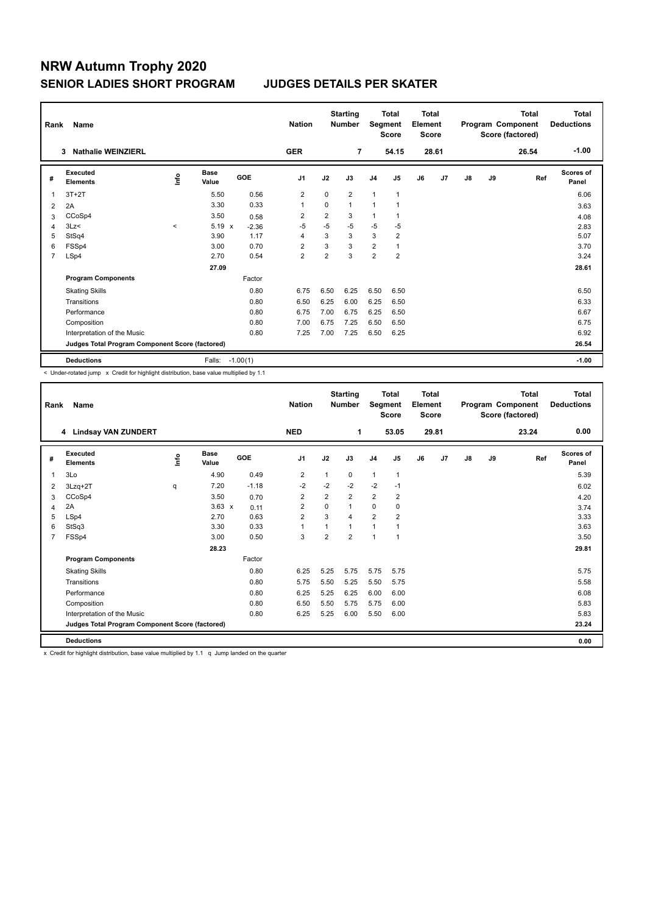| Rank           | Name                                            |              |                      |                         | <b>Nation</b>  |                | <b>Starting</b><br><b>Number</b> | Segment        | <b>Total</b><br><b>Score</b> | Total<br>Element<br><b>Score</b> |       |    |    | <b>Total</b><br>Program Component<br>Score (factored) | Total<br><b>Deductions</b> |
|----------------|-------------------------------------------------|--------------|----------------------|-------------------------|----------------|----------------|----------------------------------|----------------|------------------------------|----------------------------------|-------|----|----|-------------------------------------------------------|----------------------------|
|                | <b>Nathalie WEINZIERL</b><br>3                  |              |                      |                         | <b>GER</b>     |                | $\overline{7}$                   |                | 54.15                        |                                  | 28.61 |    |    | 26.54                                                 | $-1.00$                    |
| #              | <b>Executed</b><br><b>Elements</b>              | ۴ů           | <b>Base</b><br>Value | <b>GOE</b>              | J <sub>1</sub> | J2             | J3                               | J <sub>4</sub> | J5                           | J6                               | J7    | J8 | J9 | Ref                                                   | <b>Scores of</b><br>Panel  |
| 1              | $3T+2T$                                         |              | 5.50                 | 0.56                    | 2              | $\Omega$       | $\overline{2}$                   | $\mathbf{1}$   | $\mathbf{1}$                 |                                  |       |    |    |                                                       | 6.06                       |
| 2              | 2A                                              |              | 3.30                 | 0.33                    | $\overline{1}$ | $\Omega$       | $\mathbf{1}$                     | $\mathbf{1}$   |                              |                                  |       |    |    |                                                       | 3.63                       |
| 3              | CCoSp4                                          |              | 3.50                 | 0.58                    | $\overline{2}$ | $\overline{2}$ | 3                                | 1              |                              |                                  |       |    |    |                                                       | 4.08                       |
| $\overline{4}$ | 3Lz<                                            | $\checkmark$ | 5.19                 | $\mathsf{x}$<br>$-2.36$ | $-5$           | $-5$           | $-5$                             | $-5$           | $-5$                         |                                  |       |    |    |                                                       | 2.83                       |
| 5              | StSq4                                           |              | 3.90                 | 1.17                    | 4              | 3              | 3                                | 3              | $\overline{2}$               |                                  |       |    |    |                                                       | 5.07                       |
| 6              | FSSp4                                           |              | 3.00                 | 0.70                    | $\overline{2}$ | 3              | 3                                | $\overline{2}$ |                              |                                  |       |    |    |                                                       | 3.70                       |
| 7              | LSp4                                            |              | 2.70                 | 0.54                    | $\overline{2}$ | $\overline{2}$ | 3                                | $\overline{2}$ | $\overline{2}$               |                                  |       |    |    |                                                       | 3.24                       |
|                |                                                 |              | 27.09                |                         |                |                |                                  |                |                              |                                  |       |    |    |                                                       | 28.61                      |
|                | <b>Program Components</b>                       |              |                      | Factor                  |                |                |                                  |                |                              |                                  |       |    |    |                                                       |                            |
|                | <b>Skating Skills</b>                           |              |                      | 0.80                    | 6.75           | 6.50           | 6.25                             | 6.50           | 6.50                         |                                  |       |    |    |                                                       | 6.50                       |
|                | Transitions                                     |              |                      | 0.80                    | 6.50           | 6.25           | 6.00                             | 6.25           | 6.50                         |                                  |       |    |    |                                                       | 6.33                       |
|                | Performance                                     |              |                      | 0.80                    | 6.75           | 7.00           | 6.75                             | 6.25           | 6.50                         |                                  |       |    |    |                                                       | 6.67                       |
|                | Composition                                     |              |                      | 0.80                    | 7.00           | 6.75           | 7.25                             | 6.50           | 6.50                         |                                  |       |    |    |                                                       | 6.75                       |
|                | Interpretation of the Music                     |              |                      | 0.80                    | 7.25           | 7.00           | 7.25                             | 6.50           | 6.25                         |                                  |       |    |    |                                                       | 6.92                       |
|                | Judges Total Program Component Score (factored) |              |                      |                         |                |                |                                  |                |                              |                                  |       |    |    |                                                       | 26.54                      |
|                | <b>Deductions</b>                               |              | Falls:               | $-1.00(1)$              |                |                |                                  |                |                              |                                  |       |    |    |                                                       | $-1.00$                    |

< Under-rotated jump x Credit for highlight distribution, base value multiplied by 1.1

| Rank           | Name                                            |             |                      |         | <b>Nation</b>  |                | <b>Starting</b><br><b>Number</b> | Segment        | <b>Total</b><br><b>Score</b> | Total<br>Element<br><b>Score</b> |       |               |    | <b>Total</b><br>Program Component<br>Score (factored) | <b>Total</b><br><b>Deductions</b> |
|----------------|-------------------------------------------------|-------------|----------------------|---------|----------------|----------------|----------------------------------|----------------|------------------------------|----------------------------------|-------|---------------|----|-------------------------------------------------------|-----------------------------------|
|                | 4 Lindsay VAN ZUNDERT                           |             |                      |         | <b>NED</b>     |                | 1                                |                | 53.05                        |                                  | 29.81 |               |    | 23.24                                                 | 0.00                              |
| #              | Executed<br><b>Elements</b>                     | <u>info</u> | <b>Base</b><br>Value | GOE     | J <sub>1</sub> | J2             | J3                               | J <sub>4</sub> | J5                           | J6                               | J7    | $\mathsf{J}8$ | J9 | Ref                                                   | <b>Scores of</b><br>Panel         |
| 1              | 3Lo                                             |             | 4.90                 | 0.49    | $\overline{2}$ | 1              | 0                                | $\mathbf{1}$   | 1                            |                                  |       |               |    |                                                       | 5.39                              |
| 2              | 3Lzq+2T                                         | q           | 7.20                 | $-1.18$ | $-2$           | $-2$           | $-2$                             | $-2$           | $-1$                         |                                  |       |               |    |                                                       | 6.02                              |
| 3              | CCoSp4                                          |             | 3.50                 | 0.70    | $\overline{2}$ | $\overline{2}$ | $\overline{2}$                   | $\overline{2}$ | $\overline{2}$               |                                  |       |               |    |                                                       | 4.20                              |
| 4              | 2A                                              |             | $3.63 \times$        | 0.11    | $\overline{2}$ | 0              | 1                                | 0              | 0                            |                                  |       |               |    |                                                       | 3.74                              |
| 5              | LSp4                                            |             | 2.70                 | 0.63    | $\overline{2}$ | 3              | 4                                | $\overline{2}$ | $\overline{2}$               |                                  |       |               |    |                                                       | 3.33                              |
| 6              | StSq3                                           |             | 3.30                 | 0.33    | $\mathbf{1}$   | 1              | 1                                | $\mathbf{1}$   |                              |                                  |       |               |    |                                                       | 3.63                              |
| $\overline{7}$ | FSSp4                                           |             | 3.00                 | 0.50    | 3              | $\overline{2}$ | $\overline{2}$                   | $\overline{1}$ | 1                            |                                  |       |               |    |                                                       | 3.50                              |
|                |                                                 |             | 28.23                |         |                |                |                                  |                |                              |                                  |       |               |    |                                                       | 29.81                             |
|                | <b>Program Components</b>                       |             |                      | Factor  |                |                |                                  |                |                              |                                  |       |               |    |                                                       |                                   |
|                | <b>Skating Skills</b>                           |             |                      | 0.80    | 6.25           | 5.25           | 5.75                             | 5.75           | 5.75                         |                                  |       |               |    |                                                       | 5.75                              |
|                | Transitions                                     |             |                      | 0.80    | 5.75           | 5.50           | 5.25                             | 5.50           | 5.75                         |                                  |       |               |    |                                                       | 5.58                              |
|                | Performance                                     |             |                      | 0.80    | 6.25           | 5.25           | 6.25                             | 6.00           | 6.00                         |                                  |       |               |    |                                                       | 6.08                              |
|                | Composition                                     |             |                      | 0.80    | 6.50           | 5.50           | 5.75                             | 5.75           | 6.00                         |                                  |       |               |    |                                                       | 5.83                              |
|                | Interpretation of the Music                     |             |                      | 0.80    | 6.25           | 5.25           | 6.00                             | 5.50           | 6.00                         |                                  |       |               |    |                                                       | 5.83                              |
|                | Judges Total Program Component Score (factored) |             |                      |         |                |                |                                  |                |                              |                                  |       |               |    |                                                       | 23.24                             |
|                | <b>Deductions</b>                               |             |                      |         |                |                |                                  |                |                              |                                  |       |               |    |                                                       | 0.00                              |

x Credit for highlight distribution, base value multiplied by 1.1 q Jump landed on the quarter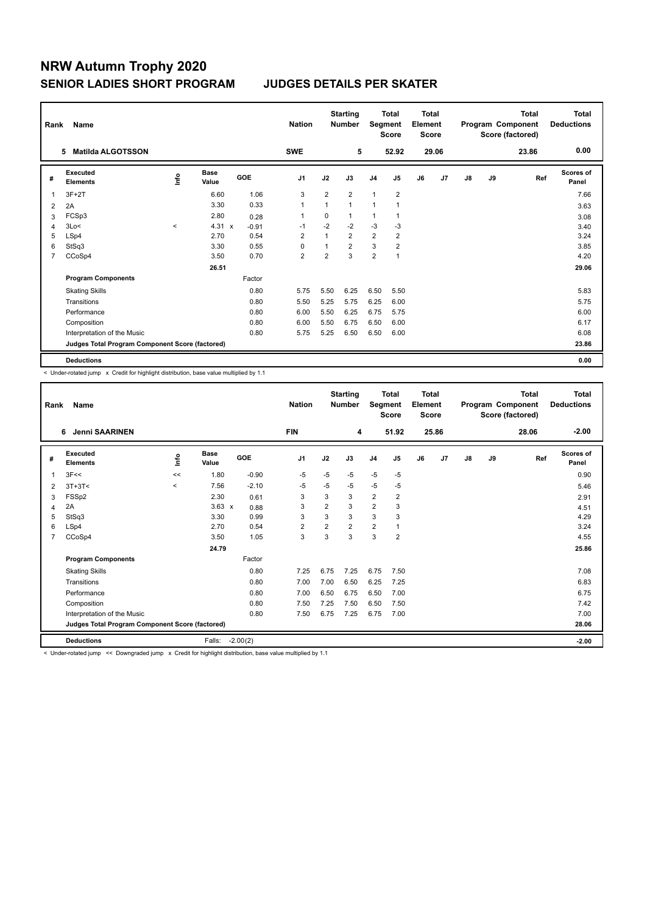| Rank           | Name                                            |         |                      |            | <b>Nation</b>  |                | <b>Starting</b><br><b>Number</b> |                | <b>Total</b><br>Segment<br><b>Score</b> | <b>Total</b><br>Element<br><b>Score</b> |       |               |    | <b>Total</b><br>Program Component<br>Score (factored) | Total<br><b>Deductions</b> |
|----------------|-------------------------------------------------|---------|----------------------|------------|----------------|----------------|----------------------------------|----------------|-----------------------------------------|-----------------------------------------|-------|---------------|----|-------------------------------------------------------|----------------------------|
|                | <b>Matilda ALGOTSSON</b><br>5.                  |         |                      |            | <b>SWE</b>     |                | 5                                |                | 52.92                                   |                                         | 29.06 |               |    | 23.86                                                 | 0.00                       |
| #              | <b>Executed</b><br><b>Elements</b>              | lnfo    | <b>Base</b><br>Value | <b>GOE</b> | J <sub>1</sub> | J2             | J3                               | J <sub>4</sub> | J <sub>5</sub>                          | J6                                      | J7    | $\mathsf{J}8$ | J9 | Ref                                                   | Scores of<br>Panel         |
| 1              | $3F+2T$                                         |         | 6.60                 | 1.06       | 3              | $\overline{2}$ | $\overline{2}$                   | 1              | $\overline{2}$                          |                                         |       |               |    |                                                       | 7.66                       |
| 2              | 2A                                              |         | 3.30                 | 0.33       | $\overline{1}$ | $\mathbf{1}$   | $\mathbf{1}$                     | $\mathbf{1}$   |                                         |                                         |       |               |    |                                                       | 3.63                       |
| 3              | FCSp3                                           |         | 2.80                 | 0.28       | 1              | 0              |                                  | 1              |                                         |                                         |       |               |    |                                                       | 3.08                       |
| 4              | 3Lo<                                            | $\prec$ | $4.31 \times$        | $-0.91$    | $-1$           | $-2$           | $-2$                             | $-3$           | -3                                      |                                         |       |               |    |                                                       | 3.40                       |
| 5              | LSp4                                            |         | 2.70                 | 0.54       | $\overline{2}$ | $\mathbf{1}$   | $\overline{2}$                   | $\overline{2}$ | $\overline{2}$                          |                                         |       |               |    |                                                       | 3.24                       |
| 6              | StSq3                                           |         | 3.30                 | 0.55       | $\Omega$       | $\mathbf{1}$   | $\overline{2}$                   | 3              | $\overline{2}$                          |                                         |       |               |    |                                                       | 3.85                       |
| $\overline{7}$ | CCoSp4                                          |         | 3.50                 | 0.70       | $\overline{2}$ | $\overline{2}$ | 3                                | $\overline{2}$ | $\mathbf{1}$                            |                                         |       |               |    |                                                       | 4.20                       |
|                |                                                 |         | 26.51                |            |                |                |                                  |                |                                         |                                         |       |               |    |                                                       | 29.06                      |
|                | <b>Program Components</b>                       |         |                      | Factor     |                |                |                                  |                |                                         |                                         |       |               |    |                                                       |                            |
|                | <b>Skating Skills</b>                           |         |                      | 0.80       | 5.75           | 5.50           | 6.25                             | 6.50           | 5.50                                    |                                         |       |               |    |                                                       | 5.83                       |
|                | Transitions                                     |         |                      | 0.80       | 5.50           | 5.25           | 5.75                             | 6.25           | 6.00                                    |                                         |       |               |    |                                                       | 5.75                       |
|                | Performance                                     |         |                      | 0.80       | 6.00           | 5.50           | 6.25                             | 6.75           | 5.75                                    |                                         |       |               |    |                                                       | 6.00                       |
|                | Composition                                     |         |                      | 0.80       | 6.00           | 5.50           | 6.75                             | 6.50           | 6.00                                    |                                         |       |               |    |                                                       | 6.17                       |
|                | Interpretation of the Music                     |         |                      | 0.80       | 5.75           | 5.25           | 6.50                             | 6.50           | 6.00                                    |                                         |       |               |    |                                                       | 6.08                       |
|                | Judges Total Program Component Score (factored) |         |                      |            |                |                |                                  |                |                                         |                                         |       |               |    |                                                       | 23.86                      |
|                | <b>Deductions</b>                               |         |                      |            |                |                |                                  |                |                                         |                                         |       |               |    |                                                       | 0.00                       |

< Under-rotated jump x Credit for highlight distribution, base value multiplied by 1.1

| Rank           | Name                                                                                                                 |             |               |            | <b>Nation</b>  |                | <b>Starting</b><br><b>Number</b> | Segment        | <b>Total</b><br><b>Score</b> | <b>Total</b><br>Element<br><b>Score</b> |       |    |    | <b>Total</b><br>Program Component<br>Score (factored) | <b>Total</b><br><b>Deductions</b> |
|----------------|----------------------------------------------------------------------------------------------------------------------|-------------|---------------|------------|----------------|----------------|----------------------------------|----------------|------------------------------|-----------------------------------------|-------|----|----|-------------------------------------------------------|-----------------------------------|
|                | <b>Jenni SAARINEN</b><br>6                                                                                           |             |               |            | <b>FIN</b>     |                | 4                                |                | 51.92                        |                                         | 25.86 |    |    | 28.06                                                 | $-2.00$                           |
| #              | Executed<br><b>Elements</b>                                                                                          | <u>lnfo</u> | Base<br>Value | GOE        | J <sub>1</sub> | J2             | J3                               | J <sub>4</sub> | J5                           | J6                                      | J7    | J8 | J9 | Ref                                                   | Scores of<br>Panel                |
|                | 3F<<                                                                                                                 | <<          | 1.80          | $-0.90$    | -5             | $-5$           | $-5$                             | $-5$           | $-5$                         |                                         |       |    |    |                                                       | 0.90                              |
| 2              | $3T+3T<$                                                                                                             | $\prec$     | 7.56          | $-2.10$    | -5             | $-5$           | $-5$                             | $-5$           | -5                           |                                         |       |    |    |                                                       | 5.46                              |
| 3              | FSSp2                                                                                                                |             | 2.30          | 0.61       | 3              | 3              | 3                                | $\overline{2}$ | $\overline{2}$               |                                         |       |    |    |                                                       | 2.91                              |
| 4              | 2A                                                                                                                   |             | $3.63 \times$ | 0.88       | 3              | $\overline{2}$ | 3                                | $\overline{2}$ | 3                            |                                         |       |    |    |                                                       | 4.51                              |
| 5              | StSq3                                                                                                                |             | 3.30          | 0.99       | 3              | 3              | 3                                | 3              | 3                            |                                         |       |    |    |                                                       | 4.29                              |
| 6              | LSp4                                                                                                                 |             | 2.70          | 0.54       | $\overline{2}$ | $\overline{2}$ | $\overline{2}$                   | $\overline{2}$ |                              |                                         |       |    |    |                                                       | 3.24                              |
| $\overline{7}$ | CCoSp4                                                                                                               |             | 3.50          | 1.05       | 3              | 3              | 3                                | 3              | $\overline{2}$               |                                         |       |    |    |                                                       | 4.55                              |
|                |                                                                                                                      |             | 24.79         |            |                |                |                                  |                |                              |                                         |       |    |    |                                                       | 25.86                             |
|                | <b>Program Components</b>                                                                                            |             |               | Factor     |                |                |                                  |                |                              |                                         |       |    |    |                                                       |                                   |
|                | <b>Skating Skills</b>                                                                                                |             |               | 0.80       | 7.25           | 6.75           | 7.25                             | 6.75           | 7.50                         |                                         |       |    |    |                                                       | 7.08                              |
|                | Transitions                                                                                                          |             |               | 0.80       | 7.00           | 7.00           | 6.50                             | 6.25           | 7.25                         |                                         |       |    |    |                                                       | 6.83                              |
|                | Performance                                                                                                          |             |               | 0.80       | 7.00           | 6.50           | 6.75                             | 6.50           | 7.00                         |                                         |       |    |    |                                                       | 6.75                              |
|                | Composition                                                                                                          |             |               | 0.80       | 7.50           | 7.25           | 7.50                             | 6.50           | 7.50                         |                                         |       |    |    |                                                       | 7.42                              |
|                | Interpretation of the Music                                                                                          |             |               | 0.80       | 7.50           | 6.75           | 7.25                             | 6.75           | 7.00                         |                                         |       |    |    |                                                       | 7.00                              |
|                | Judges Total Program Component Score (factored)                                                                      |             |               |            |                |                |                                  |                |                              |                                         |       |    |    |                                                       | 28.06                             |
|                | <b>Deductions</b>                                                                                                    |             | Falls:        | $-2.00(2)$ |                |                |                                  |                |                              |                                         |       |    |    |                                                       | $-2.00$                           |
|                | Alleghan estated inner and Democratical inner or Opedit for bighlight distribution, began unlus multiplied buy 4, 4, |             |               |            |                |                |                                  |                |                              |                                         |       |    |    |                                                       |                                   |

r-rotated jump << Downgraded jump x Credit for highlight distribution, base value multiplied by 1.1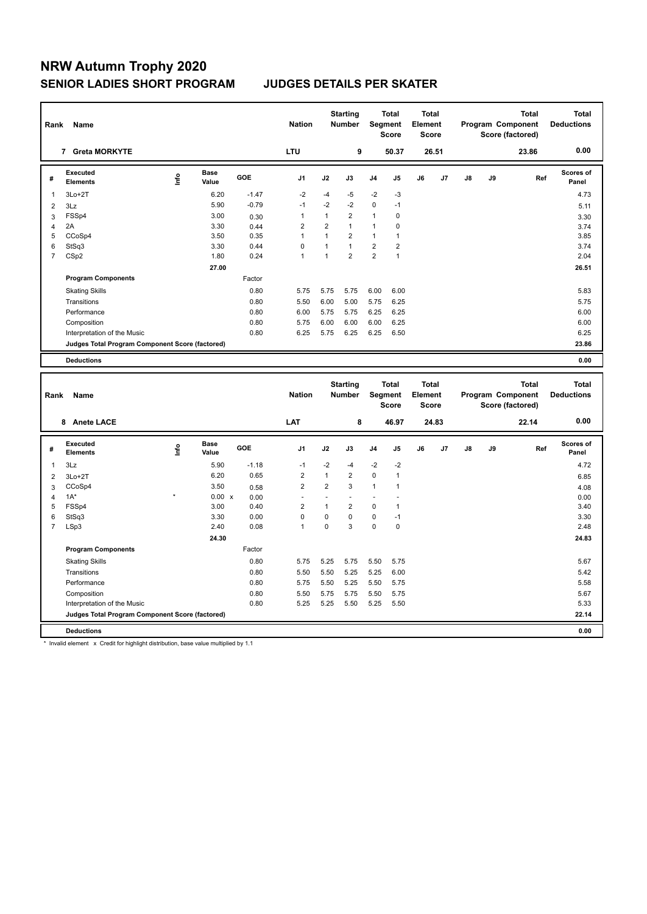| Rank           | Name                                            |      |                      |            | <b>Nation</b>  |                | <b>Starting</b><br><b>Number</b> |                | <b>Total</b><br>Segment<br><b>Score</b> | <b>Total</b><br>Element<br><b>Score</b> |                |    |    | <b>Total</b><br>Program Component<br>Score (factored) | <b>Total</b><br><b>Deductions</b> |
|----------------|-------------------------------------------------|------|----------------------|------------|----------------|----------------|----------------------------------|----------------|-----------------------------------------|-----------------------------------------|----------------|----|----|-------------------------------------------------------|-----------------------------------|
|                | <b>Greta MORKYTE</b><br>7                       |      |                      |            | <b>LTU</b>     |                | 9                                |                | 50.37                                   |                                         | 26.51          |    |    | 23.86                                                 | 0.00                              |
| #              | Executed<br><b>Elements</b>                     | ١nf٥ | <b>Base</b><br>Value | <b>GOE</b> | J <sub>1</sub> | J2             | J3                               | J <sub>4</sub> | J <sub>5</sub>                          | J6                                      | J <sub>7</sub> | J8 | J9 | Ref                                                   | <b>Scores of</b><br>Panel         |
| 1              | $3Lo+2T$                                        |      | 6.20                 | $-1.47$    | $-2$           | $-4$           | $-5$                             | $-2$           | $-3$                                    |                                         |                |    |    |                                                       | 4.73                              |
| 2              | 3Lz                                             |      | 5.90                 | $-0.79$    | $-1$           | $-2$           | $-2$                             | $\mathbf 0$    | $-1$                                    |                                         |                |    |    |                                                       | 5.11                              |
| 3              | FSSp4                                           |      | 3.00                 | 0.30       | 1              | 1              | $\overline{2}$                   | $\mathbf{1}$   | 0                                       |                                         |                |    |    |                                                       | 3.30                              |
| $\overline{4}$ | 2A                                              |      | 3.30                 | 0.44       | $\overline{2}$ | $\overline{2}$ | $\mathbf{1}$                     | $\mathbf{1}$   | 0                                       |                                         |                |    |    |                                                       | 3.74                              |
| 5              | CCoSp4                                          |      | 3.50                 | 0.35       | 1              | 1              | $\overline{2}$                   | $\mathbf{1}$   |                                         |                                         |                |    |    |                                                       | 3.85                              |
| 6              | StSq3                                           |      | 3.30                 | 0.44       | $\Omega$       | 1              | $\mathbf{1}$                     | $\overline{2}$ | $\overline{2}$                          |                                         |                |    |    |                                                       | 3.74                              |
| 7              | CSp2                                            |      | 1.80                 | 0.24       | 1              | 1              | $\overline{2}$                   | $\overline{2}$ | $\overline{1}$                          |                                         |                |    |    |                                                       | 2.04                              |
|                |                                                 |      | 27.00                |            |                |                |                                  |                |                                         |                                         |                |    |    |                                                       | 26.51                             |
|                | <b>Program Components</b>                       |      |                      | Factor     |                |                |                                  |                |                                         |                                         |                |    |    |                                                       |                                   |
|                | <b>Skating Skills</b>                           |      |                      | 0.80       | 5.75           | 5.75           | 5.75                             | 6.00           | 6.00                                    |                                         |                |    |    |                                                       | 5.83                              |
|                | Transitions                                     |      |                      | 0.80       | 5.50           | 6.00           | 5.00                             | 5.75           | 6.25                                    |                                         |                |    |    |                                                       | 5.75                              |
|                | Performance                                     |      |                      | 0.80       | 6.00           | 5.75           | 5.75                             | 6.25           | 6.25                                    |                                         |                |    |    |                                                       | 6.00                              |
|                | Composition                                     |      |                      | 0.80       | 5.75           | 6.00           | 6.00                             | 6.00           | 6.25                                    |                                         |                |    |    |                                                       | 6.00                              |
|                | Interpretation of the Music                     |      |                      | 0.80       | 6.25           | 5.75           | 6.25                             | 6.25           | 6.50                                    |                                         |                |    |    |                                                       | 6.25                              |
|                | Judges Total Program Component Score (factored) |      |                      |            |                |                |                                  |                |                                         |                                         |                |    |    |                                                       | 23.86                             |
|                | <b>Deductions</b>                               |      |                      |            |                |                |                                  |                |                                         |                                         |                |    |    |                                                       | 0.00                              |

| Rank           | Name                                            |         |                      |            | <b>Nation</b>            |                | <b>Starting</b><br><b>Number</b> |                | <b>Total</b><br>Segment<br><b>Score</b> | Total<br>Element<br><b>Score</b> |       |               |    | <b>Total</b><br>Program Component<br>Score (factored) | <b>Total</b><br><b>Deductions</b> |
|----------------|-------------------------------------------------|---------|----------------------|------------|--------------------------|----------------|----------------------------------|----------------|-----------------------------------------|----------------------------------|-------|---------------|----|-------------------------------------------------------|-----------------------------------|
|                | 8 Anete LACE                                    |         |                      |            | <b>LAT</b>               |                | 8                                |                | 46.97                                   |                                  | 24.83 |               |    | 22.14                                                 | 0.00                              |
| #              | Executed<br><b>Elements</b>                     | ١nf٥    | <b>Base</b><br>Value | <b>GOE</b> | J <sub>1</sub>           | J2             | J3                               | J <sub>4</sub> | J5                                      | J6                               | J7    | $\mathsf{J}8$ | J9 | Ref                                                   | <b>Scores of</b><br>Panel         |
| 1              | 3Lz                                             |         | 5.90                 | $-1.18$    | $-1$                     | $-2$           | $-4$                             | $-2$           | $-2$                                    |                                  |       |               |    |                                                       | 4.72                              |
| 2              | $3Lo+2T$                                        |         | 6.20                 | 0.65       | $\overline{2}$           | $\overline{1}$ | $\overline{2}$                   | $\mathbf 0$    | $\overline{1}$                          |                                  |       |               |    |                                                       | 6.85                              |
| 3              | CCoSp4                                          |         | 3.50                 | 0.58       | $\overline{2}$           | $\overline{2}$ | 3                                | $\mathbf{1}$   | 1                                       |                                  |       |               |    |                                                       | 4.08                              |
| 4              | $1A^*$                                          | $\star$ | $0.00 \times$        | 0.00       | $\overline{\phantom{a}}$ |                | $\overline{\phantom{a}}$         |                |                                         |                                  |       |               |    |                                                       | 0.00                              |
| 5              | FSSp4                                           |         | 3.00                 | 0.40       | 2                        | 1              | $\overline{2}$                   | $\mathbf 0$    | $\overline{1}$                          |                                  |       |               |    |                                                       | 3.40                              |
| 6              | StSq3                                           |         | 3.30                 | 0.00       | $\mathbf 0$              | 0              | $\Omega$                         | $\mathbf 0$    | $-1$                                    |                                  |       |               |    |                                                       | 3.30                              |
| $\overline{7}$ | LSp3                                            |         | 2.40                 | 0.08       | 1                        | 0              | 3                                | $\mathbf 0$    | $\mathbf 0$                             |                                  |       |               |    |                                                       | 2.48                              |
|                |                                                 |         | 24.30                |            |                          |                |                                  |                |                                         |                                  |       |               |    |                                                       | 24.83                             |
|                | <b>Program Components</b>                       |         |                      | Factor     |                          |                |                                  |                |                                         |                                  |       |               |    |                                                       |                                   |
|                | <b>Skating Skills</b>                           |         |                      | 0.80       | 5.75                     | 5.25           | 5.75                             | 5.50           | 5.75                                    |                                  |       |               |    |                                                       | 5.67                              |
|                | Transitions                                     |         |                      | 0.80       | 5.50                     | 5.50           | 5.25                             | 5.25           | 6.00                                    |                                  |       |               |    |                                                       | 5.42                              |
|                | Performance                                     |         |                      | 0.80       | 5.75                     | 5.50           | 5.25                             | 5.50           | 5.75                                    |                                  |       |               |    |                                                       | 5.58                              |
|                | Composition                                     |         |                      | 0.80       | 5.50                     | 5.75           | 5.75                             | 5.50           | 5.75                                    |                                  |       |               |    |                                                       | 5.67                              |
|                | Interpretation of the Music                     |         |                      | 0.80       | 5.25                     | 5.25           | 5.50                             | 5.25           | 5.50                                    |                                  |       |               |    |                                                       | 5.33                              |
|                | Judges Total Program Component Score (factored) |         |                      |            |                          |                |                                  |                |                                         |                                  |       |               |    |                                                       | 22.14                             |
|                | <b>Deductions</b>                               |         |                      |            |                          |                |                                  |                |                                         |                                  |       |               |    |                                                       | 0.00                              |

\* Invalid element x Credit for highlight distribution, base value multiplied by 1.1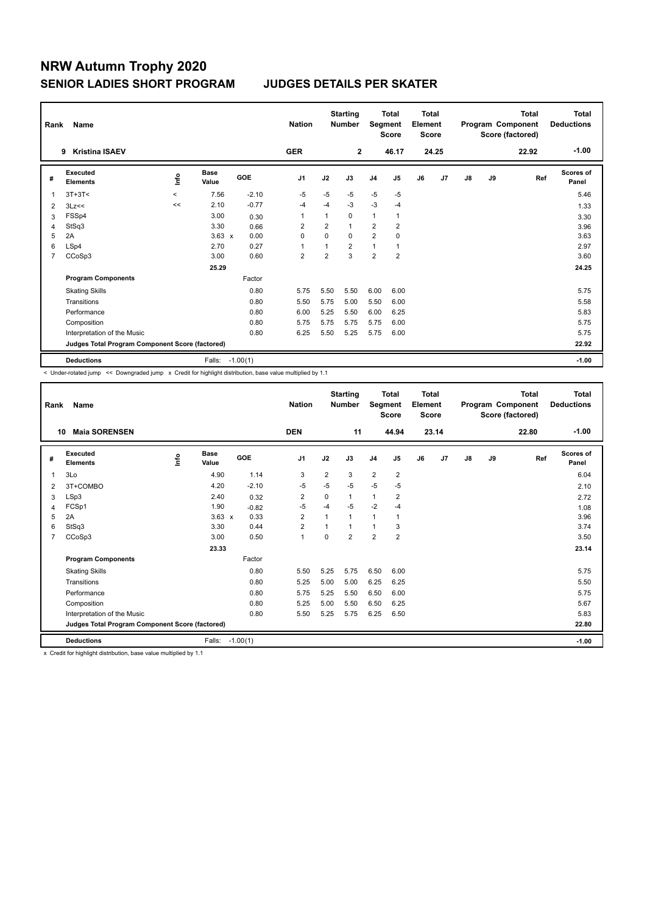| Rank | Name                                            |                          |                      |            | <b>Nation</b>  |                | <b>Starting</b><br><b>Number</b> | Segment        | <b>Total</b><br><b>Score</b> | <b>Total</b><br>Element<br>Score |       |    |    | <b>Total</b><br>Program Component<br>Score (factored) | Total<br><b>Deductions</b> |
|------|-------------------------------------------------|--------------------------|----------------------|------------|----------------|----------------|----------------------------------|----------------|------------------------------|----------------------------------|-------|----|----|-------------------------------------------------------|----------------------------|
|      | <b>Kristina ISAEV</b><br>9                      |                          |                      |            | <b>GER</b>     |                | $\overline{2}$                   |                | 46.17                        |                                  | 24.25 |    |    | 22.92                                                 | $-1.00$                    |
| #    | Executed<br><b>Elements</b>                     | lnfo                     | <b>Base</b><br>Value | <b>GOE</b> | J <sub>1</sub> | J2             | J3                               | J <sub>4</sub> | J <sub>5</sub>               | J6                               | J7    | J8 | J9 | Ref                                                   | Scores of<br>Panel         |
| 1    | $3T+3T<$                                        | $\overline{\phantom{a}}$ | 7.56                 | $-2.10$    | $-5$           | $-5$           | $-5$                             | $-5$           | $-5$                         |                                  |       |    |    |                                                       | 5.46                       |
| 2    | 3Lz<<                                           | <<                       | 2.10                 | $-0.77$    | $-4$           | $-4$           | $-3$                             | $-3$           | $-4$                         |                                  |       |    |    |                                                       | 1.33                       |
| 3    | FSSp4                                           |                          | 3.00                 | 0.30       | $\overline{1}$ | $\mathbf{1}$   | $\Omega$                         | $\mathbf{1}$   | $\mathbf{1}$                 |                                  |       |    |    |                                                       | 3.30                       |
| 4    | StSq3                                           |                          | 3.30                 | 0.66       | 2              | $\overline{2}$ | $\mathbf{1}$                     | $\overline{2}$ | $\overline{2}$               |                                  |       |    |    |                                                       | 3.96                       |
| 5    | 2A                                              |                          | $3.63 \times$        | 0.00       | $\mathbf 0$    | $\Omega$       | $\Omega$                         | 2              | $\mathbf 0$                  |                                  |       |    |    |                                                       | 3.63                       |
| 6    | LSp4                                            |                          | 2.70                 | 0.27       | 1              | 1              | $\overline{2}$                   | 1              | $\mathbf{1}$                 |                                  |       |    |    |                                                       | 2.97                       |
| 7    | CCoSp3                                          |                          | 3.00                 | 0.60       | $\overline{2}$ | $\overline{2}$ | 3                                | $\overline{2}$ | $\overline{2}$               |                                  |       |    |    |                                                       | 3.60                       |
|      |                                                 |                          | 25.29                |            |                |                |                                  |                |                              |                                  |       |    |    |                                                       | 24.25                      |
|      | <b>Program Components</b>                       |                          |                      | Factor     |                |                |                                  |                |                              |                                  |       |    |    |                                                       |                            |
|      | <b>Skating Skills</b>                           |                          |                      | 0.80       | 5.75           | 5.50           | 5.50                             | 6.00           | 6.00                         |                                  |       |    |    |                                                       | 5.75                       |
|      | Transitions                                     |                          |                      | 0.80       | 5.50           | 5.75           | 5.00                             | 5.50           | 6.00                         |                                  |       |    |    |                                                       | 5.58                       |
|      | Performance                                     |                          |                      | 0.80       | 6.00           | 5.25           | 5.50                             | 6.00           | 6.25                         |                                  |       |    |    |                                                       | 5.83                       |
|      | Composition                                     |                          |                      | 0.80       | 5.75           | 5.75           | 5.75                             | 5.75           | 6.00                         |                                  |       |    |    |                                                       | 5.75                       |
|      | Interpretation of the Music                     |                          |                      | 0.80       | 6.25           | 5.50           | 5.25                             | 5.75           | 6.00                         |                                  |       |    |    |                                                       | 5.75                       |
|      | Judges Total Program Component Score (factored) |                          |                      |            |                |                |                                  |                |                              |                                  |       |    |    |                                                       | 22.92                      |
|      | <b>Deductions</b>                               |                          | Falls:               | $-1.00(1)$ |                |                |                                  |                |                              |                                  |       |    |    |                                                       | $-1.00$                    |

< Under-rotated jump << Downgraded jump x Credit for highlight distribution, base value multiplied by 1.1

| Rank           | Name                                            |            |                      |            | <b>Nation</b>  |                | <b>Starting</b><br><b>Number</b> | Segment        | <b>Total</b><br><b>Score</b> | Total<br>Element<br><b>Score</b> |       |    |    | <b>Total</b><br>Program Component<br>Score (factored) | <b>Total</b><br><b>Deductions</b> |
|----------------|-------------------------------------------------|------------|----------------------|------------|----------------|----------------|----------------------------------|----------------|------------------------------|----------------------------------|-------|----|----|-------------------------------------------------------|-----------------------------------|
| 10             | <b>Maia SORENSEN</b>                            |            |                      |            | <b>DEN</b>     |                | 11                               |                | 44.94                        |                                  | 23.14 |    |    | 22.80                                                 | $-1.00$                           |
| #              | Executed<br><b>Elements</b>                     | <b>Lin</b> | <b>Base</b><br>Value | GOE        | J <sub>1</sub> | J2             | J3                               | J <sub>4</sub> | J <sub>5</sub>               | J6                               | J7    | J8 | J9 | Ref                                                   | Scores of<br>Panel                |
| 1              | 3Lo                                             |            | 4.90                 | 1.14       | 3              | $\overline{2}$ | 3                                | $\overline{2}$ | 2                            |                                  |       |    |    |                                                       | 6.04                              |
| 2              | 3T+COMBO                                        |            | 4.20                 | $-2.10$    | -5             | $-5$           | $-5$                             | $-5$           | $-5$                         |                                  |       |    |    |                                                       | 2.10                              |
| 3              | LSp3                                            |            | 2.40                 | 0.32       | $\overline{2}$ | $\mathbf 0$    | $\mathbf{1}$                     | $\mathbf{1}$   | $\overline{2}$               |                                  |       |    |    |                                                       | 2.72                              |
| 4              | FCSp1                                           |            | 1.90                 | $-0.82$    | -5             | $-4$           | $-5$                             | $-2$           | $-4$                         |                                  |       |    |    |                                                       | 1.08                              |
| 5              | 2A                                              |            | $3.63 \times$        | 0.33       | $\overline{2}$ | $\overline{1}$ | 1                                | $\mathbf{1}$   | 1                            |                                  |       |    |    |                                                       | 3.96                              |
| 6              | StSq3                                           |            | 3.30                 | 0.44       | $\overline{2}$ | 1              | $\overline{1}$                   | $\mathbf{1}$   | 3                            |                                  |       |    |    |                                                       | 3.74                              |
| $\overline{7}$ | CCoSp3                                          |            | 3.00                 | 0.50       | $\mathbf{1}$   | $\Omega$       | $\overline{2}$                   | $\overline{2}$ | $\overline{2}$               |                                  |       |    |    |                                                       | 3.50                              |
|                |                                                 |            | 23.33                |            |                |                |                                  |                |                              |                                  |       |    |    |                                                       | 23.14                             |
|                | <b>Program Components</b>                       |            |                      | Factor     |                |                |                                  |                |                              |                                  |       |    |    |                                                       |                                   |
|                | <b>Skating Skills</b>                           |            |                      | 0.80       | 5.50           | 5.25           | 5.75                             | 6.50           | 6.00                         |                                  |       |    |    |                                                       | 5.75                              |
|                | Transitions                                     |            |                      | 0.80       | 5.25           | 5.00           | 5.00                             | 6.25           | 6.25                         |                                  |       |    |    |                                                       | 5.50                              |
|                | Performance                                     |            |                      | 0.80       | 5.75           | 5.25           | 5.50                             | 6.50           | 6.00                         |                                  |       |    |    |                                                       | 5.75                              |
|                | Composition                                     |            |                      | 0.80       | 5.25           | 5.00           | 5.50                             | 6.50           | 6.25                         |                                  |       |    |    |                                                       | 5.67                              |
|                | Interpretation of the Music                     |            |                      | 0.80       | 5.50           | 5.25           | 5.75                             | 6.25           | 6.50                         |                                  |       |    |    |                                                       | 5.83                              |
|                | Judges Total Program Component Score (factored) |            |                      |            |                |                |                                  |                |                              |                                  |       |    |    |                                                       | 22.80                             |
|                | <b>Deductions</b>                               |            | Falls:               | $-1.00(1)$ |                |                |                                  |                |                              |                                  |       |    |    |                                                       | $-1.00$                           |

x Credit for highlight distribution, base value multiplied by 1.1